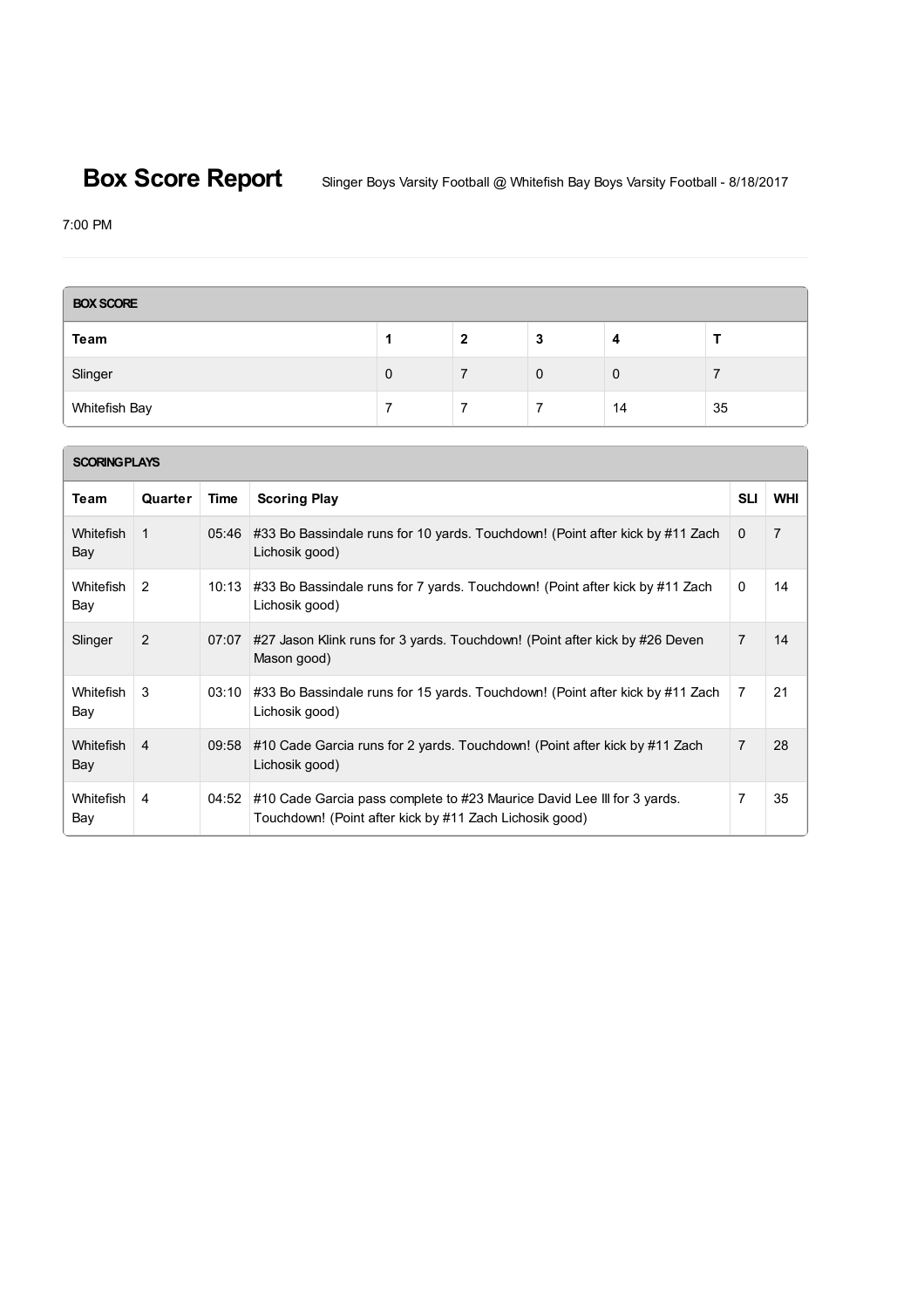**Box Score Report** Slinger Boys Varsity Football @ Whitefish Bay Boys Varsity Football - 8/18/2017

7:00 PM

| <b>BOX SCORE</b> |   |   |   |    |    |  |
|------------------|---|---|---|----|----|--|
| Team             |   | 2 | 3 |    |    |  |
| Slinger          | 0 |   | 0 | 0  |    |  |
| Whitefish Bay    |   |   |   | 14 | 35 |  |

| <b>SCORING PLAYS</b>    |                |       |                                                                                                                                    |                |                |  |  |  |
|-------------------------|----------------|-------|------------------------------------------------------------------------------------------------------------------------------------|----------------|----------------|--|--|--|
| Team                    | Quarter        | Time  | <b>Scoring Play</b>                                                                                                                | <b>SLI</b>     | <b>WHI</b>     |  |  |  |
| <b>Whitefish</b><br>Bay | 1              | 05:46 | #33 Bo Bassindale runs for 10 yards. Touchdown! (Point after kick by #11 Zach<br>Lichosik good)                                    | 0              | $\overline{7}$ |  |  |  |
| <b>Whitefish</b><br>Bay | 2              | 10:13 | #33 Bo Bassindale runs for 7 yards. Touchdown! (Point after kick by #11 Zach<br>Lichosik good)                                     | $\mathbf{0}$   | 14             |  |  |  |
| Slinger                 | 2              | 07:07 | #27 Jason Klink runs for 3 yards. Touchdown! (Point after kick by #26 Deven<br>Mason good)                                         | $\overline{7}$ | 14             |  |  |  |
| Whitefish<br>Bay        | 3              | 03:10 | #33 Bo Bassindale runs for 15 yards. Touchdown! (Point after kick by #11 Zach<br>Lichosik good)                                    | 7              | 21             |  |  |  |
| <b>Whitefish</b><br>Bay | $\overline{4}$ | 09:58 | #10 Cade Garcia runs for 2 yards. Touchdown! (Point after kick by #11 Zach<br>Lichosik good)                                       | 7              | 28             |  |  |  |
| Whitefish<br>Bay        | 4              | 04:52 | #10 Cade Garcia pass complete to #23 Maurice David Lee III for 3 yards.<br>Touchdown! (Point after kick by #11 Zach Lichosik good) | 7              | 35             |  |  |  |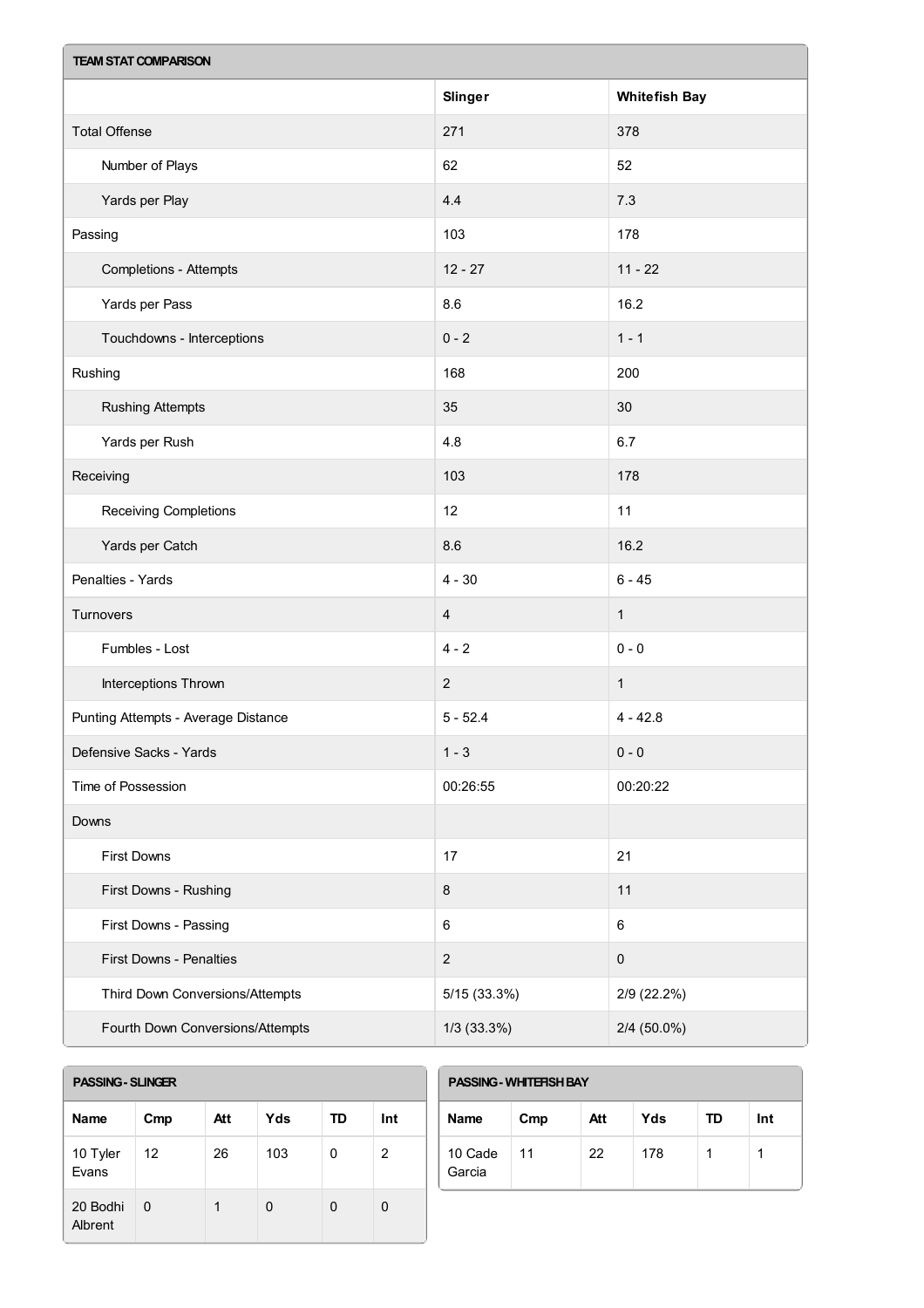| <b>TEAM STAT COMPARISON</b>         |                         |                      |  |  |  |
|-------------------------------------|-------------------------|----------------------|--|--|--|
|                                     | Slinger                 | <b>Whitefish Bay</b> |  |  |  |
| <b>Total Offense</b>                | 271                     | 378                  |  |  |  |
| Number of Plays                     | 62                      | 52                   |  |  |  |
| Yards per Play                      | 4.4                     | 7.3                  |  |  |  |
| Passing                             | 103                     | 178                  |  |  |  |
| <b>Completions - Attempts</b>       | $12 - 27$               | $11 - 22$            |  |  |  |
| Yards per Pass                      | 8.6                     | 16.2                 |  |  |  |
| Touchdowns - Interceptions          | $0 - 2$                 | $1 - 1$              |  |  |  |
| Rushing                             | 168                     | 200                  |  |  |  |
| <b>Rushing Attempts</b>             | 35                      | 30                   |  |  |  |
| Yards per Rush                      | 4.8                     | 6.7                  |  |  |  |
| Receiving                           | 103                     | 178                  |  |  |  |
| Receiving Completions               | 12                      | 11                   |  |  |  |
| Yards per Catch                     | 8.6                     | 16.2                 |  |  |  |
| Penalties - Yards                   | $4 - 30$                | $6 - 45$             |  |  |  |
| Turnovers                           | $\overline{\mathbf{4}}$ | $\mathbf{1}$         |  |  |  |
| Fumbles - Lost                      | $4 - 2$                 | $0 - 0$              |  |  |  |
| Interceptions Thrown                | $\overline{2}$          | $\mathbf{1}$         |  |  |  |
| Punting Attempts - Average Distance | $5 - 52.4$              | $4 - 42.8$           |  |  |  |
| Defensive Sacks - Yards             | $1 - 3$                 | $0 - 0$              |  |  |  |
| Time of Possession                  | 00:26:55                | 00:20:22             |  |  |  |
| Downs                               |                         |                      |  |  |  |
| First Downs                         | 17                      | 21                   |  |  |  |
| First Downs - Rushing               | $\bf 8$                 | 11                   |  |  |  |
| First Downs - Passing               | $\,6\,$                 | 6                    |  |  |  |
| First Downs - Penalties             | $\boldsymbol{2}$        | $\pmb{0}$            |  |  |  |
| Third Down Conversions/Attempts     | 5/15(33.3%)             | 2/9 (22.2%)          |  |  |  |
| Fourth Down Conversions/Attempts    | $1/3$ (33.3%)           | 2/4 (50.0%)          |  |  |  |

| <b>PASSING - SLINGER</b> |  |
|--------------------------|--|
|                          |  |
|                          |  |

ſ

| <b>Name</b>         | Cmp | Att | Yds | TD | Int |
|---------------------|-----|-----|-----|----|-----|
| 10 Tyler<br>Evans   | 12  | 26  | 103 | 0  | 2   |
| 20 Bodhi<br>Albrent | 0   |     | 0   | O  | O   |

| <b>PASSING - WHITERSH BAY</b> |     |     |     |    |     |  |
|-------------------------------|-----|-----|-----|----|-----|--|
| <b>Name</b>                   | Cmp | Att | Yds | TD | Int |  |
| 10 Cade<br>Garcia             | 11  | 22  | 178 | 1  |     |  |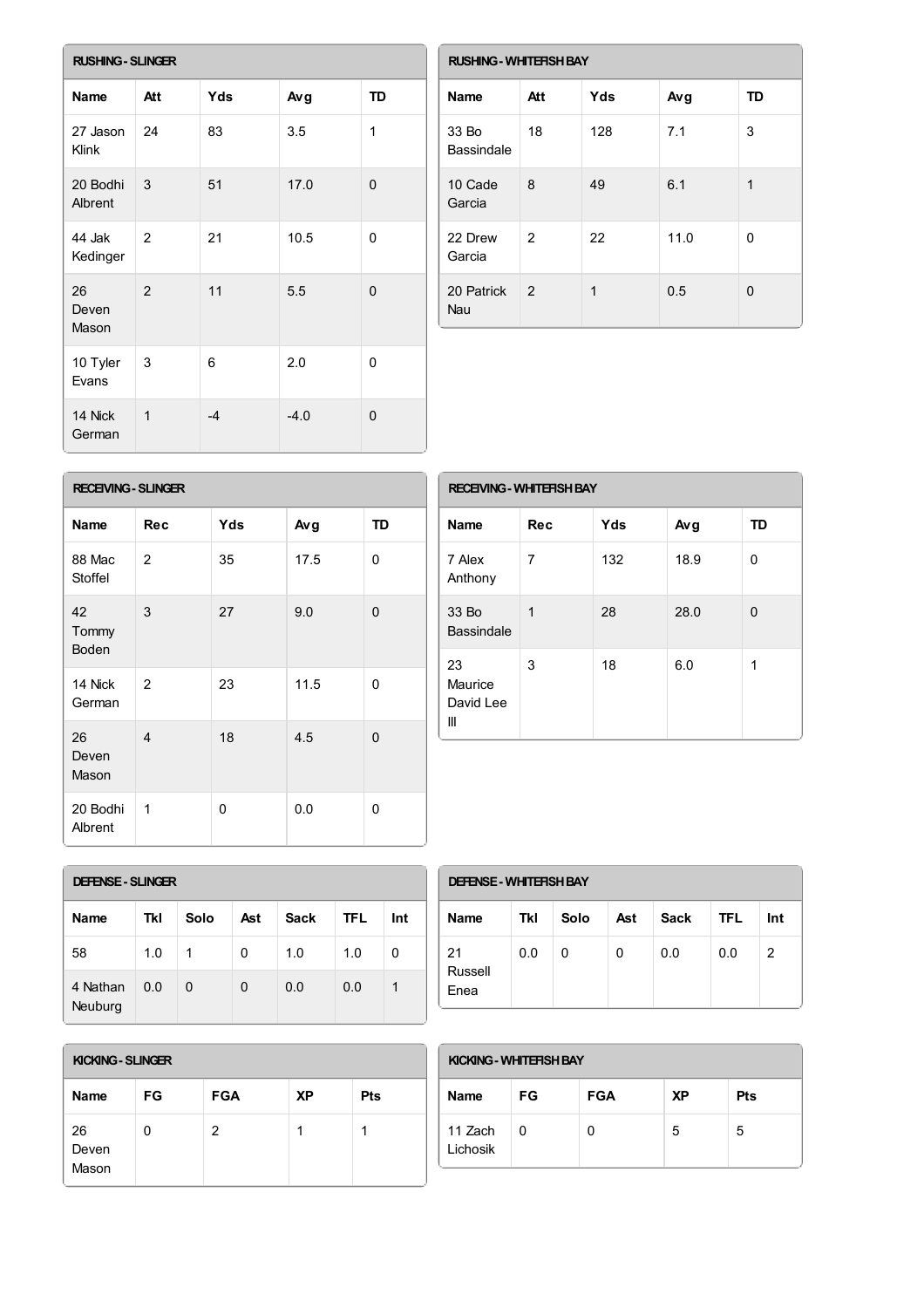| <b>RUSHING - SLINGER</b> |                |      |        |          |  |  |
|--------------------------|----------------|------|--------|----------|--|--|
| <b>Name</b>              | Att            | Yds  | Avg    | TD       |  |  |
| 27 Jason<br>Klink        | 24             | 83   | 3.5    | 1        |  |  |
| 20 Bodhi<br>Albrent      | 3              | 51   | 17.0   | $\Omega$ |  |  |
| 44 Jak<br>Kedinger       | 2              | 21   | 10.5   | 0        |  |  |
| 26<br>Deven<br>Mason     | 2              | 11   | 5.5    | $\Omega$ |  |  |
| 10 Tyler<br>Evans        | 3              | 6    | 2.0    | 0        |  |  |
| 14 Nick<br>German        | $\overline{1}$ | $-4$ | $-4.0$ | 0        |  |  |

| <b>RUSHING - WHITEFISH BAY</b> |               |     |      |          |  |  |
|--------------------------------|---------------|-----|------|----------|--|--|
| <b>Name</b>                    | Att           | Yds | Avg  | TD       |  |  |
| 33 Bo<br>Bassindale            | 18            | 128 | 7.1  | 3        |  |  |
| 10 Cade<br>Garcia              | 8             | 49  | 6.1  | 1        |  |  |
| 22 Drew<br>Garcia              | 2             | 22  | 11.0 | $\Omega$ |  |  |
| 20 Patrick<br>Nau              | $\mathcal{P}$ | 1   | 0.5  | O        |  |  |

| <b>RECEIVING - SLINGER</b>  |                |     |      |          |  |
|-----------------------------|----------------|-----|------|----------|--|
| <b>Name</b>                 | <b>Rec</b>     | Yds | Avg  | TD       |  |
| 88 Mac<br>Stoffel           | 2              | 35  | 17.5 | 0        |  |
| 42<br>Tommy<br><b>Boden</b> | 3              | 27  | 9.0  | $\Omega$ |  |
| 14 Nick<br>German           | $\mathcal{P}$  | 23  | 11.5 | 0        |  |
| 26<br>Deven<br>Mason        | $\overline{4}$ | 18  | 4.5  | $\Omega$ |  |
| 20 Bodhi<br>Albrent         | 1              | 0   | 0.0  | 0        |  |

| <b>RECEIVING - WHITEFISH BAY</b> |            |     |      |           |  |  |
|----------------------------------|------------|-----|------|-----------|--|--|
| <b>Name</b>                      | <b>Rec</b> | Yds | Avg  | <b>TD</b> |  |  |
| 7 Alex<br>Anthony                | 7          | 132 | 18.9 | 0         |  |  |
| 33 Bo<br><b>Bassindale</b>       | 1          | 28  | 28.0 | 0         |  |  |
| 23<br>Maurice<br>David Lee<br>Ш  | 3          | 18  | 6.0  | 1         |  |  |

| <b>DEFENSE - SLINGER</b> |     |      |     |             |            |     |  |
|--------------------------|-----|------|-----|-------------|------------|-----|--|
| <b>Name</b>              | Tkl | Solo | Ast | <b>Sack</b> | <b>TFL</b> | Int |  |
| 58                       | 1.0 | 1    | 0   | 1.0         | 1.0        | 0   |  |
| 4 Nathan<br>Neuburg      | 0.0 | 0    | 0   | 0.0         | 0.0        |     |  |

| <b>DEFENSE - WHITERSH BAY</b> |     |      |     |             |            |     |
|-------------------------------|-----|------|-----|-------------|------------|-----|
| <b>Name</b>                   | Tkl | Solo | Ast | <b>Sack</b> | <b>TFL</b> | Int |
| 21<br>Russell<br>Enea         | 0.0 | 0    | 0   | 0.0         | 0.0        | 2   |

| KICKING - SLINGER    |    |            |           |     |  |
|----------------------|----|------------|-----------|-----|--|
| Name                 | FG | <b>FGA</b> | <b>XP</b> | Pts |  |
| 26<br>Deven<br>Mason |    | 2          |           |     |  |

| KICKING - WHITERSH BAY |           |            |           |            |
|------------------------|-----------|------------|-----------|------------|
| <b>Name</b>            | <b>FG</b> | <b>FGA</b> | <b>XP</b> | <b>Pts</b> |
| 11 Zach<br>Lichosik    | O         | 0          | 5         | 5          |